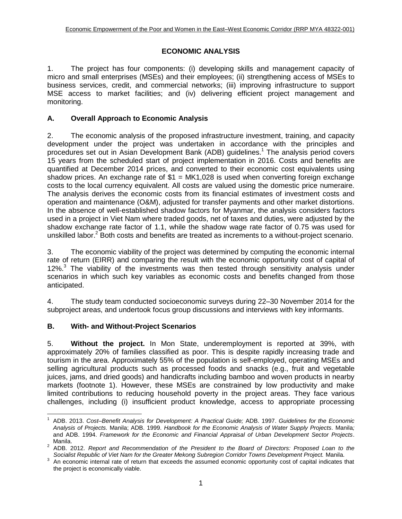## **ECONOMIC ANALYSIS**

1. The project has four components: (i) developing skills and management capacity of micro and small enterprises (MSEs) and their employees; (ii) strengthening access of MSEs to business services, credit, and commercial networks; (iii) improving infrastructure to support MSE access to market facilities; and (iv) delivering efficient project management and monitoring.

## **A. Overall Approach to Economic Analysis**

2. The economic analysis of the proposed infrastructure investment, training, and capacity development under the project was undertaken in accordance with the principles and procedures set out in Asian Development Bank (ADB) guidelines. <sup>1</sup> The analysis period covers 15 years from the scheduled start of project implementation in 2016. Costs and benefits are quantified at December 2014 prices, and converted to their economic cost equivalents using shadow prices. An exchange rate of  $$1 = MK1,028$  is used when converting foreign exchange costs to the local currency equivalent. All costs are valued using the domestic price numeraire. The analysis derives the economic costs from its financial estimates of investment costs and operation and maintenance (O&M), adjusted for transfer payments and other market distortions. In the absence of well-established shadow factors for Myanmar, the analysis considers factors used in a project in Viet Nam where traded goods, net of taxes and duties, were adjusted by the shadow exchange rate factor of 1.1, while the shadow wage rate factor of 0.75 was used for unskilled labor.<sup>2</sup> Both costs and benefits are treated as increments to a without-project scenario.

3. The economic viability of the project was determined by computing the economic internal rate of return (EIRR) and comparing the result with the economic opportunity cost of capital of 12%. $3$  The viability of the investments was then tested through sensitivity analysis under scenarios in which such key variables as economic costs and benefits changed from those anticipated.

4. The study team conducted socioeconomic surveys during 22–30 November 2014 for the subproject areas, and undertook focus group discussions and interviews with key informants.

## **B. With- and Without-Project Scenarios**

5. **Without the project.** In Mon State, underemployment is reported at 39%, with approximately 20% of families classified as poor. This is despite rapidly increasing trade and tourism in the area. Approximately 55% of the population is self-employed, operating MSEs and selling agricultural products such as processed foods and snacks (e.g., fruit and vegetable juices, jams, and dried goods) and handicrafts including bamboo and woven products in nearby markets (footnote 1). However, these MSEs are constrained by low productivity and make limited contributions to reducing household poverty in the project areas. They face various challenges, including (i) insufficient product knowledge, access to appropriate processing

 1 ADB. 2013. *Cost–Benefit Analysis for Development: A Practical Guide;* ADB. 1997. *Guidelines for the Economic Analysis of Projects.* Manila; ADB. 1999. *Handbook for the Economic Analysis of Water Supply Projects.* Manila*;*  and ADB. 1994. *Framework for the Economic and Financial Appraisal of Urban Development Sector Projects*. Manila.

<sup>&</sup>lt;sup>2</sup> ADB. 2012. *Report and Recommendation of the President to the Board of Directors: Proposed Loan to the Socialist Republic of Viet Nam for the Greater Mekong Subregion Corridor Towns Development Project.* Manila.

 $3$  An economic internal rate of return that exceeds the assumed economic opportunity cost of capital indicates that the project is economically viable.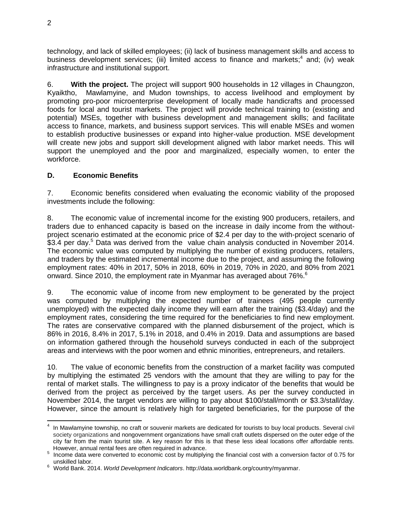technology, and lack of skilled employees; (ii) lack of business management skills and access to business development services; (iii) limited access to finance and markets;<sup>4</sup> and; (iv) weak infrastructure and institutional support.

6. **With the project.** The project will support 900 households in 12 villages in Chaungzon, Kyaiktho, Mawlamyine, and Mudon townships, to access livelihood and employment by promoting pro-poor microenterprise development of locally made handicrafts and processed foods for local and tourist markets. The project will provide technical training to (existing and potential) MSEs, together with business development and management skills; and facilitate access to finance, markets, and business support services. This will enable MSEs and women to establish productive businesses or expand into higher-value production. MSE development will create new jobs and support skill development aligned with labor market needs. This will support the unemployed and the poor and marginalized, especially women, to enter the workforce.

### **D. Economic Benefits**

7. Economic benefits considered when evaluating the economic viability of the proposed investments include the following:

8. The economic value of incremental income for the existing 900 producers, retailers, and traders due to enhanced capacity is based on the increase in daily income from the withoutproject scenario estimated at the economic price of \$2.4 per day to the with-project scenario of \$3.4 per day.<sup>5</sup> Data was derived from the value chain analysis conducted in November 2014. The economic value was computed by multiplying the number of existing producers, retailers, and traders by the estimated incremental income due to the project, and assuming the following employment rates: 40% in 2017, 50% in 2018, 60% in 2019, 70% in 2020, and 80% from 2021 onward. Since 2010, the employment rate in Myanmar has averaged about 76%.<sup>6</sup>

9. The economic value of income from new employment to be generated by the project was computed by multiplying the expected number of trainees (495 people currently unemployed) with the expected daily income they will earn after the training (\$3.4/day) and the employment rates, considering the time required for the beneficiaries to find new employment. The rates are conservative compared with the planned disbursement of the project, which is 86% in 2016, 8.4% in 2017, 5.1% in 2018, and 0.4% in 2019. Data and assumptions are based on information gathered through the household surveys conducted in each of the subproject areas and interviews with the poor women and ethnic minorities, entrepreneurs, and retailers.

10. The value of economic benefits from the construction of a market facility was computed by multiplying the estimated 25 vendors with the amount that they are willing to pay for the rental of market stalls. The willingness to pay is a proxy indicator of the benefits that would be derived from the project as perceived by the target users. As per the survey conducted in November 2014, the target vendors are willing to pay about \$100/stall/month or \$3.3/stall/day. However, since the amount is relatively high for targeted beneficiaries, for the purpose of the

 4 In Mawlamyine township, no craft or souvenir markets are dedicated for tourists to buy local products. Several civil society organizations and nongovernment organizations have small craft outlets dispersed on the outer edge of the city far from the main tourist site. A key reason for this is that these less ideal locations offer affordable rents. However, annual rental fees are often required in advance.

<sup>&</sup>lt;sup>5</sup> Income data were converted to economic cost by multiplying the financial cost with a conversion factor of 0.75 for unskilled labor.

<sup>6</sup> World Bank. 2014. *World Development Indicators*. http://data.worldbank.org/country/myanmar.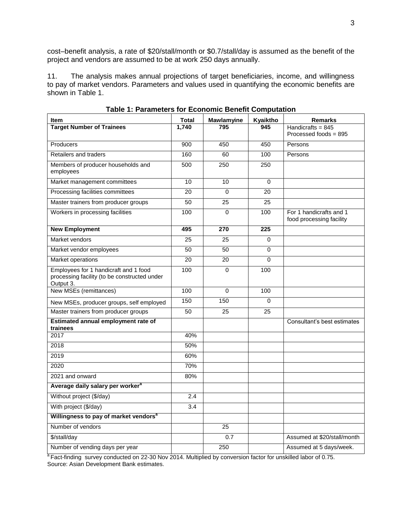cost–benefit analysis, a rate of \$20/stall/month or \$0.7/stall/day is assumed as the benefit of the project and vendors are assumed to be at work 250 days annually.

11. The analysis makes annual projections of target beneficiaries, income, and willingness to pay of market vendors. Parameters and values used in quantifying the economic benefits are shown in Table 1.

| <b>Item</b>                                                                                        | Total           | Mawlamyine     | Kyaiktho | <b>Remarks</b>                                      |
|----------------------------------------------------------------------------------------------------|-----------------|----------------|----------|-----------------------------------------------------|
| <b>Target Number of Trainees</b>                                                                   | 1,740           | 795            | 945      | Handicrafts = $845$                                 |
|                                                                                                    |                 |                |          | Processed foods = 895                               |
| Producers                                                                                          | 900             | 450            | 450      | Persons                                             |
| Retailers and traders                                                                              | 160             | 60             | 100      | Persons                                             |
| Members of producer households and<br>employees                                                    | 500             | 250            | 250      |                                                     |
| Market management committees                                                                       | 10              | 10             | $\Omega$ |                                                     |
| Processing facilities committees                                                                   | 20              | $\Omega$       | 20       |                                                     |
| Master trainers from producer groups                                                               | $\overline{50}$ | 25             | 25       |                                                     |
| Workers in processing facilities                                                                   | 100             | $\Omega$       | 100      | For 1 handicrafts and 1<br>food processing facility |
| <b>New Employment</b>                                                                              | 495             | 270            | 225      |                                                     |
| Market vendors                                                                                     | 25              | 25             | $\Omega$ |                                                     |
| Market vendor employees                                                                            | 50              | 50             | 0        |                                                     |
| Market operations                                                                                  | 20              | 20             | 0        |                                                     |
| Employees for 1 handicraft and 1 food<br>processing facility (to be constructed under<br>Output 3. | 100             | $\mathbf 0$    | 100      |                                                     |
| New MSEs (remittances)                                                                             | 100             | $\overline{0}$ | 100      |                                                     |
| New MSEs, producer groups, self employed                                                           | 150             | 150            | 0        |                                                     |
| Master trainers from producer groups                                                               | 50              | 25             | 25       |                                                     |
| Estimated annual employment rate of<br>trainees                                                    |                 |                |          | Consultant's best estimates                         |
| 2017                                                                                               | 40%             |                |          |                                                     |
| 2018                                                                                               | 50%             |                |          |                                                     |
| 2019                                                                                               | 60%             |                |          |                                                     |
| 2020                                                                                               | 70%             |                |          |                                                     |
| 2021 and onward                                                                                    | 80%             |                |          |                                                     |
| Average daily salary per worker <sup>a</sup>                                                       |                 |                |          |                                                     |
| Without project (\$/day)                                                                           | 2.4             |                |          |                                                     |
| With project (\$/day)                                                                              | 3.4             |                |          |                                                     |
| Willingness to pay of market vendors <sup>a</sup>                                                  |                 |                |          |                                                     |
| Number of vendors                                                                                  |                 | 25             |          |                                                     |
| \$/stall/day                                                                                       |                 | 0.7            |          | Assumed at \$20/stall/month                         |
| Number of vending days per year                                                                    |                 | 250            |          | Assumed at 5 days/week.                             |

**Table 1: Parameters for Economic Benefit Computation**

<sup>a</sup> Fact-finding survey conducted on 22-30 Nov 2014. Multiplied by conversion factor for unskilled labor of 0.75. Source: Asian Development Bank estimates.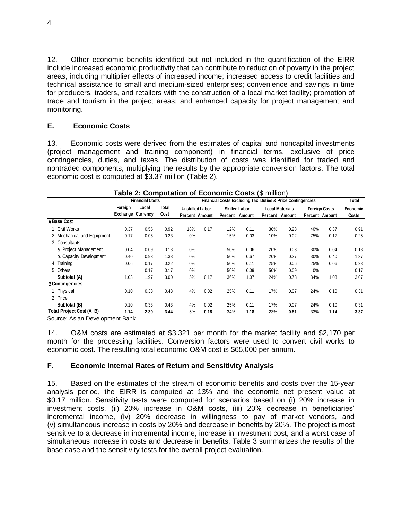12. Other economic benefits identified but not included in the quantification of the EIRR include increased economic productivity that can contribute to reduction of poverty in the project areas, including multiplier effects of increased income; increased access to credit facilities and technical assistance to small and medium-sized enterprises; convenience and savings in time for producers, traders, and retailers with the construction of a local market facility; promotion of trade and tourism in the project areas; and enhanced capacity for project management and monitoring.

#### **E. Economic Costs**

13. Economic costs were derived from the estimates of capital and noncapital investments (project management and training component) in financial terms, exclusive of price contingencies, duties, and taxes. The distribution of costs was identified for traded and nontraded components, multiplying the results by the appropriate conversion factors. The total economic cost is computed at \$3.37 million (Table 2).

|                            |                          | <b>Financial Costs</b> |               | Financial Costs Excluding Tax, Duties & Price Contingencies |                       |                      |        |                        |        |                      |                |              |  |
|----------------------------|--------------------------|------------------------|---------------|-------------------------------------------------------------|-----------------------|----------------------|--------|------------------------|--------|----------------------|----------------|--------------|--|
|                            | Foreign                  | Local                  | Total<br>Cost | <b>Unskilled Labor</b>                                      |                       | <b>Skilled Labor</b> |        | <b>Local Materials</b> |        | <b>Foreign Costs</b> |                | Economic     |  |
|                            | <b>Exchange Currency</b> |                        |               |                                                             | <b>Percent Amount</b> | Percent              | Amount | Percent                | Amount |                      | Percent Amount | <b>Costs</b> |  |
| A Base Cost                |                          |                        |               |                                                             |                       |                      |        |                        |        |                      |                |              |  |
| Civil Works                | 0.37                     | 0.55                   | 0.92          | 18%                                                         | 0.17                  | 12%                  | 0.11   | 30%                    | 0.28   | 40%                  | 0.37           | 0.91         |  |
| 2 Mechanical and Equipment | 0.17                     | 0.06                   | 0.23          | 0%                                                          |                       | 15%                  | 0.03   | 10%                    | 0.02   | 75%                  | 0.17           | 0.25         |  |
| 3 Consultants              |                          |                        |               |                                                             |                       |                      |        |                        |        |                      |                |              |  |
| a. Project Management      | 0.04                     | 0.09                   | 0.13          | 0%                                                          |                       | 50%                  | 0.06   | 20%                    | 0.03   | 30%                  | 0.04           | 0.13         |  |
| b. Capacity Development    | 0.40                     | 0.93                   | 1.33          | 0%                                                          |                       | 50%                  | 0.67   | 20%                    | 0.27   | 30%                  | 0.40           | 1.37         |  |
| 4 Training                 | 0.06                     | 0.17                   | 0.22          | 0%                                                          |                       | 50%                  | 0.11   | 25%                    | 0.06   | 25%                  | 0.06           | 0.23         |  |
| 5 Others                   |                          | 0.17                   | 0.17          | 0%                                                          |                       | 50%                  | 0.09   | 50%                    | 0.09   | 0%                   |                | 0.17         |  |
| Subtotal (A)               | 1.03                     | 1.97                   | 3.00          | 5%                                                          | 0.17                  | 36%                  | 1.07   | 24%                    | 0.73   | 34%                  | 1.03           | 3.07         |  |
| <b>B</b> Contingencies     |                          |                        |               |                                                             |                       |                      |        |                        |        |                      |                |              |  |
| 1 Physical                 | 0.10                     | 0.33                   | 0.43          | 4%                                                          | 0.02                  | 25%                  | 0.11   | 17%                    | 0.07   | 24%                  | 0.10           | 0.31         |  |
| 2 Price                    |                          |                        |               |                                                             |                       |                      |        |                        |        |                      |                |              |  |
| Subtotal (B)               | 0.10                     | 0.33                   | 0.43          | 4%                                                          | 0.02                  | 25%                  | 0.11   | 17%                    | 0.07   | 24%                  | 0.10           | 0.31         |  |
| Total Project Cost (A+B)   | 1.14                     | 2.30                   | 3.44          | 5%                                                          | 0.18                  | 34%                  | 1.18   | 23%                    | 0.81   | 33%                  | 1.14           | 3.37         |  |

# **Table 2: Computation of Economic Costs** (\$ million)

Source: Asian Development Bank.

14. O&M costs are estimated at \$3,321 per month for the market facility and \$2,170 per month for the processing facilities. Conversion factors were used to convert civil works to economic cost. The resulting total economic O&M cost is \$65,000 per annum.

#### **F. Economic Internal Rates of Return and Sensitivity Analysis**

15. Based on the estimates of the stream of economic benefits and costs over the 15-year analysis period, the EIRR is computed at 13% and the economic net present value at \$0.17 million. Sensitivity tests were computed for scenarios based on (i) 20% increase in investment costs, (ii) 20% increase in O&M costs, (iii) 20% decrease in beneficiaries' incremental income, (iv) 20% decrease in willingness to pay of market vendors, and (v) simultaneous increase in costs by 20% and decrease in benefits by 20%. The project is most sensitive to a decrease in incremental income, increase in investment cost, and a worst case of simultaneous increase in costs and decrease in benefits. Table 3 summarizes the results of the base case and the sensitivity tests for the overall project evaluation.